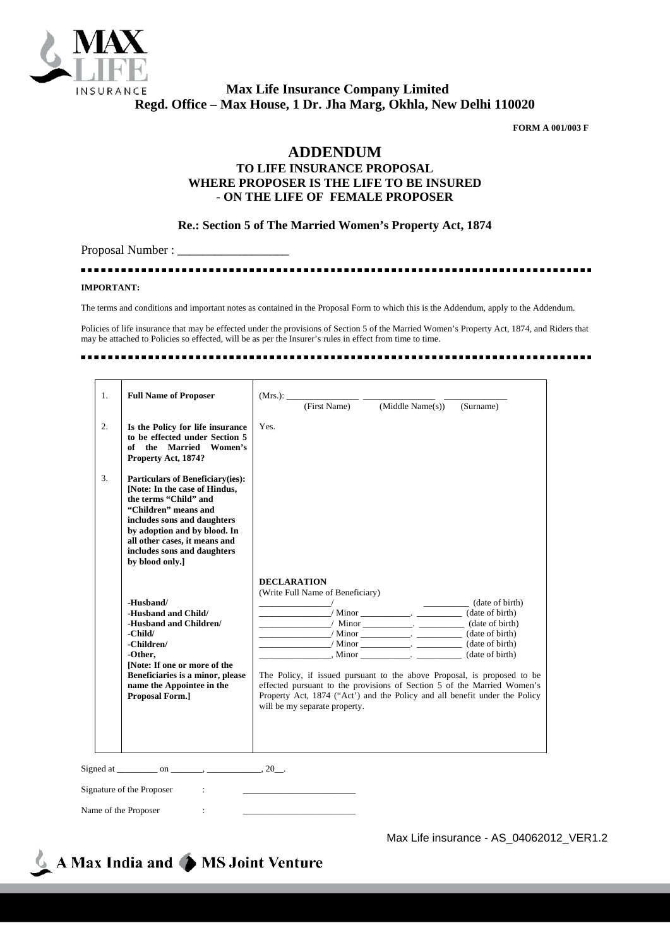

 **Max Life Insurance Company Limited Regd. Office – Max House, 1 Dr. Jha Marg, Okhla, New Delhi 110020**

**FORM A 001/003 F**

## **ADDENDUM**

## **TO LIFE INSURANCE PROPOSAL WHERE PROPOSER IS THE LIFE TO BE INSURED - ON THE LIFE OF FEMALE PROPOSER**

## **Re.: Section 5 of The Married Women's Property Act, 1874**

Proposal Number :

............................ ...................... ............... **IMPORTANT:**

The terms and conditions and important notes as contained in the Proposal Form to which this is the Addendum, apply to the Addendum.

Policies of life insurance that may be effected under the provisions of Section 5 of the Married Women's Property Act, 1874, and Riders that may be attached to Policies so effected, will be as per the Insurer's rules in effect from time to time.

| 1.               | <b>Full Name of Proposer</b>                                                                                                                                                                                                                                                |                    |                                                                   | $(Mrs.):$ (First Name) (Middle Name(s))                                                                                                                                                                                            | (Surname)                                                                                                                                                                                                                                                                                                                                                                                                                                                                                                                                                                                                                                                             |
|------------------|-----------------------------------------------------------------------------------------------------------------------------------------------------------------------------------------------------------------------------------------------------------------------------|--------------------|-------------------------------------------------------------------|------------------------------------------------------------------------------------------------------------------------------------------------------------------------------------------------------------------------------------|-----------------------------------------------------------------------------------------------------------------------------------------------------------------------------------------------------------------------------------------------------------------------------------------------------------------------------------------------------------------------------------------------------------------------------------------------------------------------------------------------------------------------------------------------------------------------------------------------------------------------------------------------------------------------|
| $\overline{2}$ . | Is the Policy for life insurance<br>to be effected under Section 5<br>of the Married Women's<br>Property Act, 1874?                                                                                                                                                         | Yes.               |                                                                   |                                                                                                                                                                                                                                    |                                                                                                                                                                                                                                                                                                                                                                                                                                                                                                                                                                                                                                                                       |
| 3.               | <b>Particulars of Beneficiary(ies):</b><br>[Note: In the case of Hindus,<br>the terms "Child" and<br>"Children" means and<br>includes sons and daughters<br>by adoption and by blood. In<br>all other cases, it means and<br>includes sons and daughters<br>by blood only.] |                    |                                                                   |                                                                                                                                                                                                                                    |                                                                                                                                                                                                                                                                                                                                                                                                                                                                                                                                                                                                                                                                       |
|                  | -Husband/<br>-Husband and Child/<br>-Husband and Children/<br>-Child/<br>-Children/<br>-Other.<br>[Note: If one or more of the<br>Beneficiaries is a minor, please<br>name the Appointee in the<br><b>Proposal Form.</b> ]                                                  | <b>DECLARATION</b> | (Write Full Name of Beneficiary)<br>will be my separate property. | $\frac{1}{\sqrt{1-\frac{1}{2}}}\sqrt{1-\frac{1}{2}}$ $\frac{1}{\sqrt{1-\frac{1}{2}}}\sqrt{1-\frac{1}{2}}$ (date of birth)<br>$\frac{\phantom{1}}{2}$ Minor $\phantom{1}\frac{1}{2}$ Minor $\phantom{1}\frac{1}{2}$ (date of birth) | $\frac{1}{\sqrt{1-\frac{1}{\sqrt{1-\frac{1}{\sqrt{1-\frac{1}{\sqrt{1-\frac{1}{\sqrt{1-\frac{1}{\sqrt{1-\frac{1}{\sqrt{1-\frac{1}{\sqrt{1-\frac{1}{\sqrt{1-\frac{1}{\sqrt{1-\frac{1}{\sqrt{1-\frac{1}{\sqrt{1-\frac{1}{\sqrt{1-\frac{1}{\sqrt{1-\frac{1}{\sqrt{1-\frac{1}{\sqrt{1-\frac{1}{\sqrt{1-\frac{1}{\sqrt{1-\frac{1}{\sqrt{1-\frac{1}{\sqrt{1-\frac{1}{\sqrt{1-\frac{1}{\sqrt{1-\frac{1}{\sqrt{1-\frac{1}{\sqrt{1-\frac{1$<br>The Policy, if issued pursuant to the above Proposal, is proposed to be<br>effected pursuant to the provisions of Section 5 of the Married Women's<br>Property Act, 1874 ("Act") and the Policy and all benefit under the Policy |
|                  |                                                                                                                                                                                                                                                                             |                    |                                                                   |                                                                                                                                                                                                                                    |                                                                                                                                                                                                                                                                                                                                                                                                                                                                                                                                                                                                                                                                       |
|                  | Signature of the Proposer<br>$\sim$ 100 $\pm$                                                                                                                                                                                                                               |                    |                                                                   |                                                                                                                                                                                                                                    |                                                                                                                                                                                                                                                                                                                                                                                                                                                                                                                                                                                                                                                                       |

Name of the Proposer

Max Life insurance - AS\_04062012\_VER1.2